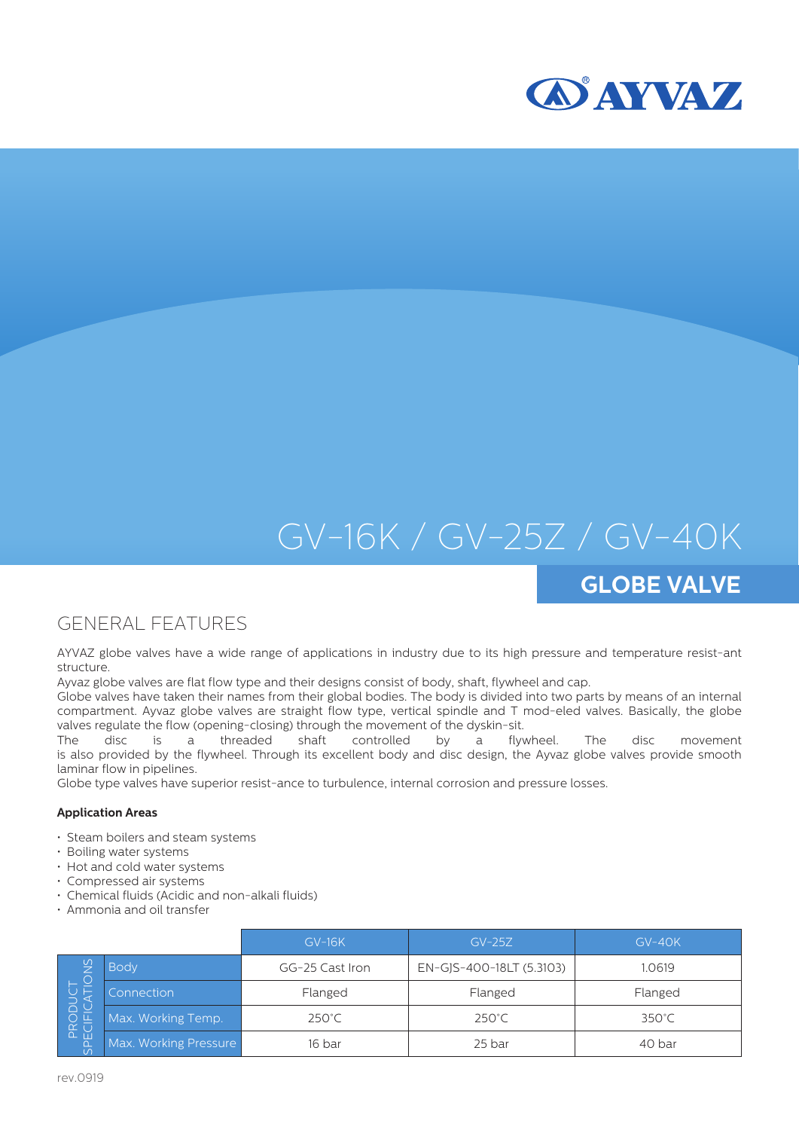



# GV-16K / GV-25Z / GV-40K

## **GLOBE VALVE**

### GENERAL FEATURES

AYVAZ globe valves have a wide range of applications in industry due to its high pressure and temperature resist-ant structure.

Ayvaz globe valves are flat flow type and their designs consist of body, shaft, flywheel and cap.

Globe valves have taken their names from their global bodies. The body is divided into two parts by means of an internal compartment. Ayvaz globe valves are straight flow type, vertical spindle and T mod-eled valves. Basically, the globe valves regulate the flow (opening-closing) through the movement of the dyskin-sit.

The disc is a threaded shaft controlled by a flywheel. The disc movement is also provided by the flywheel. Through its excellent body and disc design, the Ayvaz globe valves provide smooth laminar flow in pipelines.

Globe type valves have superior resist-ance to turbulence, internal corrosion and pressure losses.

#### **Application Areas**

- Steam boilers and steam systems
- Boiling water systems
- Hot and cold water systems
- Compressed air systems
- Chemical fluids (Acidic and non-alkali fluids)
- Ammonia and oil transfer

|                                      |                       | $GV-16K$        | $GV-25Z$                 | $GV-40K$        |  |
|--------------------------------------|-----------------------|-----------------|--------------------------|-----------------|--|
| $\frac{5}{2}$<br>PRODUO<br>SPECIFICA | <b>Body</b>           | GG-25 Cast Iron | EN-GJS-400-18LT (5.3103) | 1.0619          |  |
|                                      | Connection            | Flanged         | Flanged                  | Flanged         |  |
|                                      | Max. Working Temp.    | $250^{\circ}$ C | 250°C                    | $350^{\circ}$ C |  |
|                                      | Max. Working Pressure | 16 bar          | 25 bar                   | 40 bar          |  |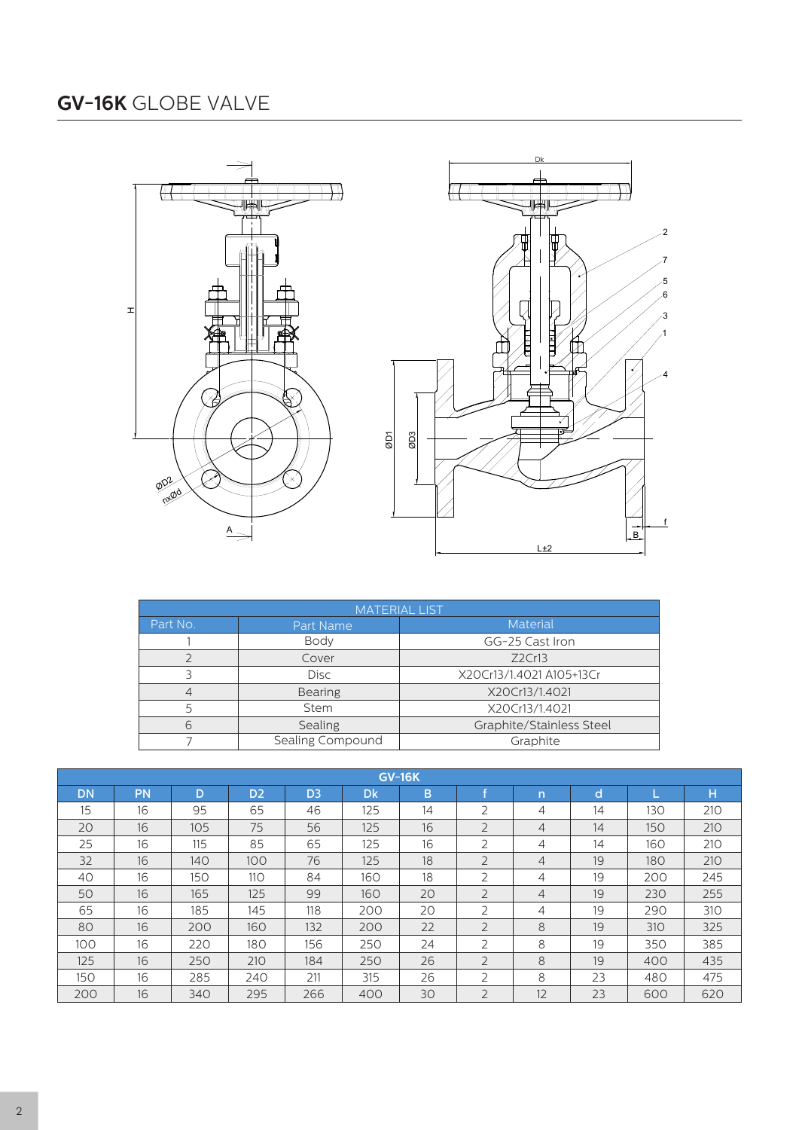### **GV-16K** GLOBE VALVE





|                | <b>MATERIAL LIST</b> |                                    |  |  |  |  |  |  |  |
|----------------|----------------------|------------------------------------|--|--|--|--|--|--|--|
| Part No.       | Part Name            | <b>Material</b><br>GG-25 Cast Iron |  |  |  |  |  |  |  |
|                | Body                 |                                    |  |  |  |  |  |  |  |
|                | Cover                | Z2Cr13                             |  |  |  |  |  |  |  |
|                | Disc                 | X20Cr13/1.4021 A105+13Cr           |  |  |  |  |  |  |  |
| $\overline{4}$ | Bearing              | X20Cr13/1.4021                     |  |  |  |  |  |  |  |
| 5              | <b>Stem</b>          | X20Cr13/1.4021                     |  |  |  |  |  |  |  |
| 6              | Sealing              | Graphite/Stainless Steel           |  |  |  |  |  |  |  |
|                | Sealing Compound     | Graphite                           |  |  |  |  |  |  |  |

| <b>GV-16K</b> |                   |     |                |                |     |    |                |                |    |     |     |
|---------------|-------------------|-----|----------------|----------------|-----|----|----------------|----------------|----|-----|-----|
| <b>DN</b>     | PN                | D   | D <sub>2</sub> | D <sub>3</sub> | Dk  | B  |                | n              | d  |     | H   |
| 15            | 16                | 95  | 65             | 46             | 125 | 14 | $\overline{2}$ | 4              | 14 | 130 | 210 |
| 20            | 16                | 105 | 75             | 56             | 125 | 16 | $\overline{2}$ | $\overline{4}$ | 14 | 150 | 210 |
| 25            | 16                | 115 | 85             | 65             | 125 | 16 | $\overline{2}$ | 4              | 14 | 160 | 210 |
| 32            | 16                | 140 | 100            | 76             | 125 | 18 | $\overline{2}$ | 4              | 19 | 180 | 210 |
| 40            | $16 \overline{6}$ | 150 | <b>110</b>     | 84             | 160 | 18 | $\overline{2}$ | 4              | 19 | 200 | 245 |
| 50            | 16                | 165 | 125            | 99             | 160 | 20 | $\overline{2}$ | $\overline{4}$ | 19 | 230 | 255 |
| 65            | 16                | 185 | 145            | 118            | 200 | 20 | $\overline{2}$ | 4              | 19 | 290 | 310 |
| 80            | 16                | 200 | 160            | 132            | 200 | 22 | $\overline{2}$ | 8              | 19 | 310 | 325 |
| 100           | 16                | 220 | 180            | 156            | 250 | 24 | $\overline{2}$ | 8              | 19 | 350 | 385 |
| 125           | 16                | 250 | 210            | 184            | 250 | 26 | $\overline{2}$ | 8              | 19 | 400 | 435 |
| 150           | 16                | 285 | 240            | 211            | 315 | 26 | $\overline{2}$ | 8              | 23 | 480 | 475 |
| 200           | 16                | 340 | 295            | 266            | 400 | 30 | $\overline{2}$ | 12             | 23 | 600 | 620 |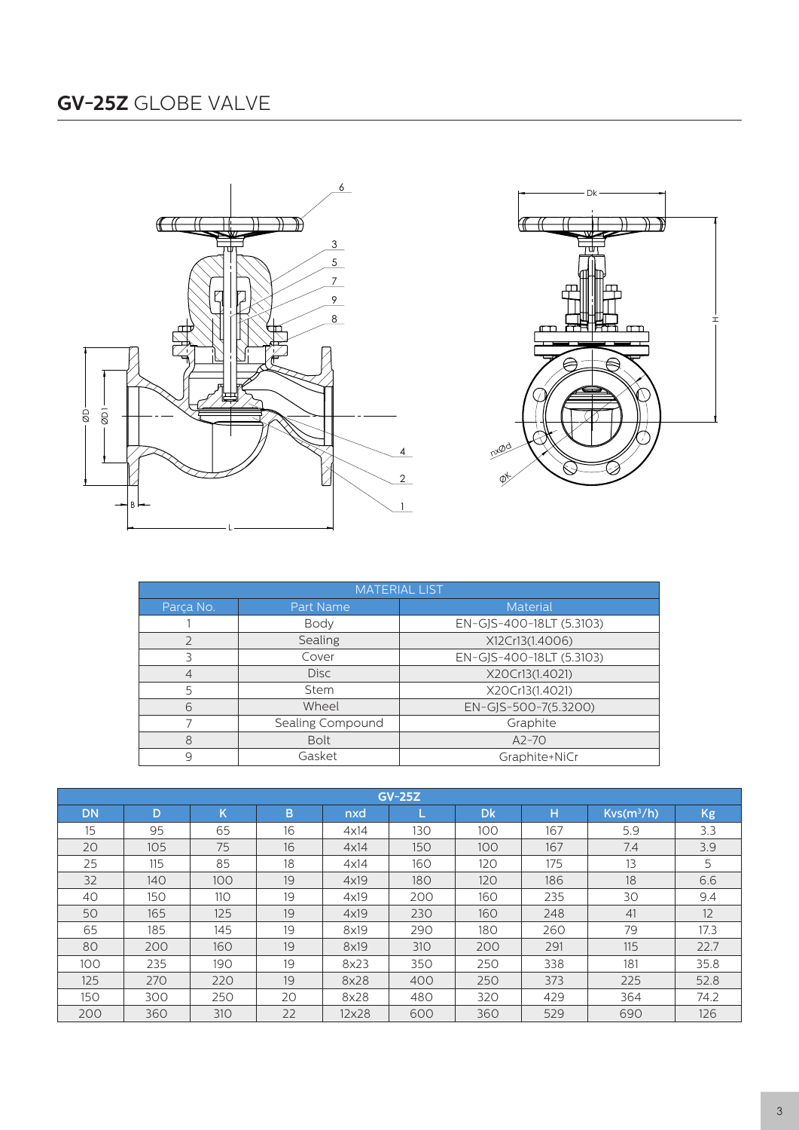



|           | <b>MATERIAL LIST</b> |                          |
|-----------|----------------------|--------------------------|
| Parça No. | Part Name            | Material                 |
|           | Body                 | EN-GJS-400-18LT (5.3103) |
|           | Sealing              | X12Cr13(1.4006)          |
|           | Cover                | EN-GJS-400-18LT (5.3103) |
| $\Delta$  | <b>Disc</b>          | X20Cr13(1.4021)          |
|           | Stem                 | X20Cr13(1.4021)          |
| 6         | Wheel                | EN-GJS-500-7(5.3200)     |
|           | Sealing Compound     | Graphite                 |
| 8         | <b>Bolt</b>          | $A2-70$                  |
|           | Gasket               | Graphite+NiCr            |

| $GV-25Z$  |     |     |    |       |     |           |     |              |           |  |  |
|-----------|-----|-----|----|-------|-----|-----------|-----|--------------|-----------|--|--|
| <b>DN</b> | D   | K   | B. | nxd   |     | <b>Dk</b> | н   | $Kvs(m^3/h)$ | <b>Kg</b> |  |  |
| 15        | 95  | 65  | 16 | 4x14  | 130 | 100       | 167 | 5.9          | 3.3       |  |  |
| 20        | 105 | 75  | 16 | 4x14  | 150 | 100       | 167 | 7.4          | 3.9       |  |  |
| 25        | 115 | 85  | 18 | 4x14  | 160 | 120       | 175 | 13           | 5         |  |  |
| 32        | 140 | 100 | 19 | 4x19  | 180 | 120       | 186 | 18           | 6.6       |  |  |
| 40        | 150 | 110 | 19 | 4x19  | 200 | 160       | 235 | 30           | 9.4       |  |  |
| 50        | 165 | 125 | 19 | 4x19  | 230 | 160       | 248 | 41           | 12        |  |  |
| 65        | 185 | 145 | 19 | 8x19  | 290 | 180       | 260 | 79           | 17.3      |  |  |
| 80        | 200 | 160 | 19 | 8x19  | 310 | 200       | 291 | 115          | 22.7      |  |  |
| 100       | 235 | 190 | 19 | 8x23  | 350 | 250       | 338 | 181          | 35.8      |  |  |
| 125       | 270 | 220 | 19 | 8x28  | 400 | 250       | 373 | 225          | 52.8      |  |  |
| 150       | 300 | 250 | 20 | 8x28  | 480 | 320       | 429 | 364          | 74.2      |  |  |
| 200       | 360 | 310 | 22 | 12×28 | 600 | 360       | 529 | 690          | 126       |  |  |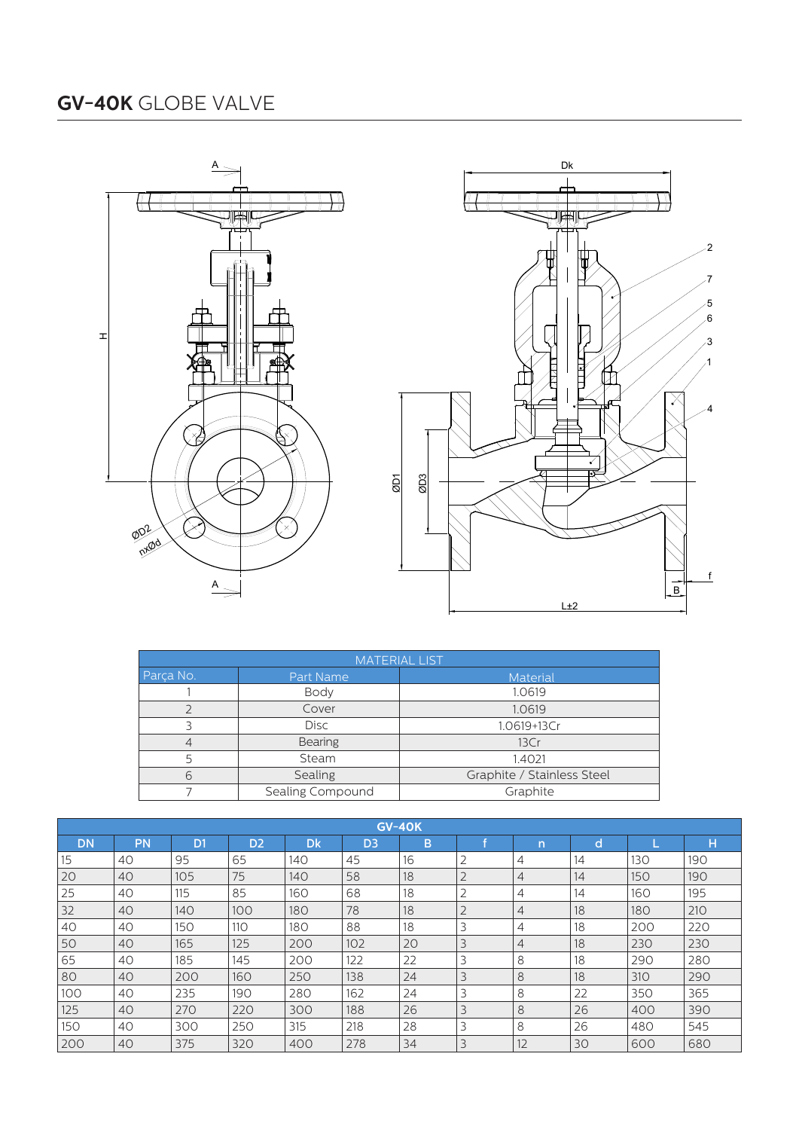



|           |                  | <b>MATERIAL LIST</b>       |  |  |  |
|-----------|------------------|----------------------------|--|--|--|
| Parça No. | Part Name        | Material                   |  |  |  |
|           | Body             | 1.0619                     |  |  |  |
|           | Cover            | 1.0619<br>1.0619+13Cr      |  |  |  |
|           | <b>Disc</b>      |                            |  |  |  |
|           | Bearing          | 13Cr                       |  |  |  |
|           | Stem             | 1.4021                     |  |  |  |
|           | Sealing          | Graphite / Stainless Steel |  |  |  |
|           | Sealing Compound | Graphite                   |  |  |  |

| <b>GV-40K</b> |           |                |                |           |                |    |                |                |    |     |     |  |
|---------------|-----------|----------------|----------------|-----------|----------------|----|----------------|----------------|----|-----|-----|--|
| <b>DN</b>     | <b>PN</b> | D <sub>1</sub> | D <sub>2</sub> | <b>Dk</b> | D <sub>3</sub> | B  |                | n              | d  |     | н   |  |
| 15            | 40        | 95             | 65             | 140       | 45             | 16 | 2              | 4              | 14 | 130 | 190 |  |
| 20            | 40        | 105            | 75             | 140       | 58             | 18 | $\overline{2}$ | 4              | 14 | 150 | 190 |  |
| 25            | 40        | 115            | 85             | 160       | 68             | 18 | 2              | 4              | 14 | 160 | 195 |  |
| 32            | 40        | 140            | 100            | 180       | 78             | 18 | $\overline{2}$ | $\overline{4}$ | 18 | 180 | 210 |  |
| 40            | 40        | 150            | 110            | 180       | 88             | 18 | 3              | 4              | 18 | 200 | 220 |  |
| 50            | 40        | 165            | 125            | 200       | 102            | 20 | 3              | 4              | 18 | 230 | 230 |  |
| 65            | 40        | 185            | 145            | 200       | 122            | 22 | 3              | 8              | 18 | 290 | 280 |  |
| 80            | 40        | 200            | 160            | 250       | 138            | 24 | 3              | 8              | 18 | 310 | 290 |  |
| 100           | 40        | 235            | 190            | 280       | 162            | 24 | 3              | 8              | 22 | 350 | 365 |  |
| 125           | 40        | 270            | 220            | 300       | 188            | 26 | 3              | 8              | 26 | 400 | 390 |  |
| 150           | 40        | 300            | 250            | 315       | 218            | 28 | 3              | 8              | 26 | 480 | 545 |  |
| 200           | 40        | 375            | 320            | 400       | 278            | 34 | 3              | 12             | 30 | 600 | 680 |  |